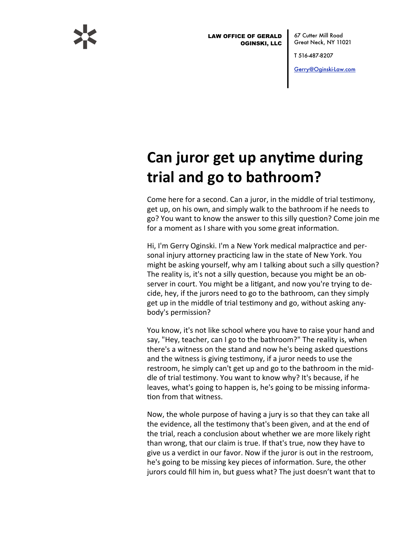

**LAW OFFICE OF GERALD OGINSKI, LLC** 

67 Cutter Mill Road Great Neck, NY 11021

T 516-487-8207

Gerry@Oginski-Law.com

## Can juror get up anytime during trial and go to bathroom?

Come here for a second. Can a juror, in the middle of trial testimony, get up, on his own, and simply walk to the bathroom if he needs to go? You want to know the answer to this silly question? Come join me for a moment as I share with you some great information.

Hi, I'm Gerry Oginski. I'm a New York medical malpractice and personal injury attorney practicing law in the state of New York. You might be asking yourself, why am I talking about such a silly question? The reality is, it's not a silly question, because you might be an observer in court. You might be a litigant, and now you're trying to decide, hey, if the jurors need to go to the bathroom, can they simply get up in the middle of trial testimony and go, without asking anybody's permission?

You know, it's not like school where you have to raise your hand and say, "Hey, teacher, can I go to the bathroom?" The reality is, when there's a witness on the stand and now he's being asked questions and the witness is giving testimony, if a juror needs to use the restroom, he simply can't get up and go to the bathroom in the middle of trial testimony. You want to know why? It's because, if he leaves, what's going to happen is, he's going to be missing information from that witness.

Now, the whole purpose of having a jury is so that they can take all the evidence, all the testimony that's been given, and at the end of the trial, reach a conclusion about whether we are more likely right than wrong, that our claim is true. If that's true, now they have to give us a verdict in our favor. Now if the juror is out in the restroom, he's going to be missing key pieces of information. Sure, the other jurors could fill him in, but guess what? The just doesn't want that to